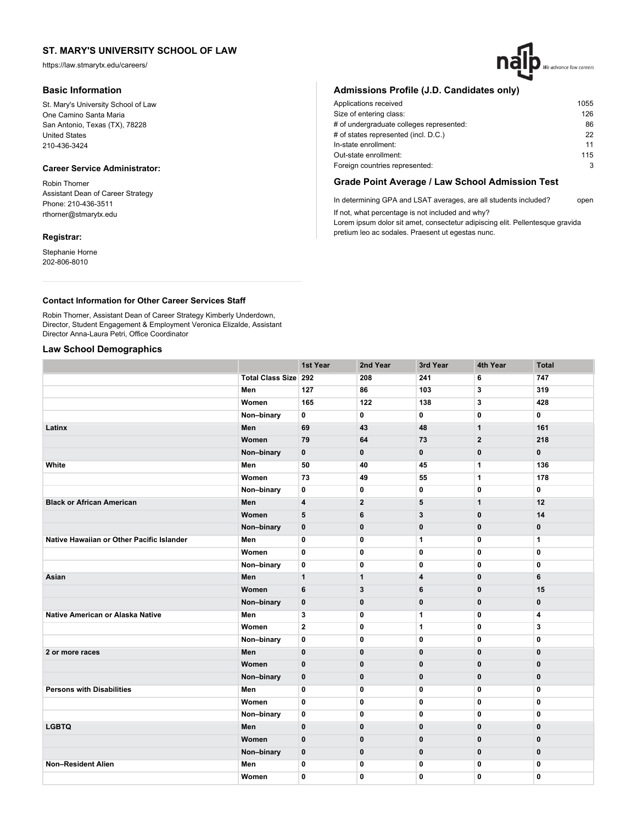https://law.stmarytx.edu/careers/

## **Basic Information**

St. Mary's University School of Law One Camino Santa Maria San Antonio, Texas (TX), 78228 United States 210-436-3424

## **Career Service Administrator:**

Robin Thorner Assistant Dean of Career Strategy Phone: 210-436-3511 rthorner@stmarytx.edu

## **Registrar:**

Stephanie Horne 202-806-8010

## **Admissions Profile (J.D. Candidates only)**

| Applications received                    | 1055 |
|------------------------------------------|------|
| Size of entering class:                  | 126  |
| # of undergraduate colleges represented: | 86   |
| # of states represented (incl. D.C.)     | 22   |
| In-state enrollment:                     | 11   |
| Out-state enrollment:                    | 115  |
| Foreign countries represented:           | 3    |
|                                          |      |

We advance law careers

## **Grade Point Average / Law School Admission Test**

In determining GPA and LSAT averages, are all students included? open If not, what percentage is not included and why?

Lorem ipsum dolor sit amet, consectetur adipiscing elit. Pellentesque gravida pretium leo ac sodales. Praesent ut egestas nunc.

## **Contact Information for Other Career Services Staff**

Robin Thorner, Assistant Dean of Career Strategy Kimberly Underdown, Director, Student Engagement & Employment Veronica Elizalde, Assistant Director Anna-Laura Petri, Office Coordinator

## **Law School Demographics**

|                                           |                             | 1st Year                | 2nd Year       | 3rd Year     | 4th Year       | <b>Total</b> |
|-------------------------------------------|-----------------------------|-------------------------|----------------|--------------|----------------|--------------|
|                                           | <b>Total Class Size 292</b> |                         | 208            | 241          | 6              | 747          |
|                                           | Men                         | 127                     | 86             | 103          | 3              | 319          |
|                                           | Women                       | 165                     | 122            | 138          | 3              | 428          |
|                                           | Non-binary                  | 0                       | 0              | 0            | 0              | 0            |
| Latinx                                    | Men                         | 69                      | 43             | 48           | $\mathbf{1}$   | 161          |
|                                           | Women                       | 79                      | 64             | 73           | $\overline{2}$ | 218          |
|                                           | Non-binary                  | $\mathbf 0$             | $\bf{0}$       | 0            | $\bf{0}$       | 0            |
| White                                     | Men                         | 50                      | 40             | 45           | $\mathbf{1}$   | 136          |
|                                           | Women                       | 73                      | 49             | 55           | $\mathbf{1}$   | 178          |
|                                           | Non-binary                  | 0                       | 0              | 0            | $\mathbf 0$    | 0            |
| <b>Black or African American</b>          | Men                         | $\overline{\mathbf{4}}$ | $\overline{2}$ | 5            | $\mathbf{1}$   | 12           |
|                                           | Women                       | 5                       | 6              | 3            | $\mathbf 0$    | 14           |
|                                           | Non-binary                  | $\bf{0}$                | $\pmb{0}$      | 0            | $\bf{0}$       | 0            |
| Native Hawaiian or Other Pacific Islander | Men                         | 0                       | 0              | 1            | $\mathbf 0$    | 1            |
|                                           | Women                       | 0                       | $\mathbf{0}$   | 0            | $\mathbf{0}$   | 0            |
|                                           | Non-binary                  | 0                       | 0              | 0            | $\mathbf 0$    | 0            |
| Asian                                     | Men                         | $\mathbf{1}$            | $\mathbf{1}$   | 4            | $\mathbf 0$    | 6            |
|                                           | Women                       | 6                       | 3              | 6            | $\mathbf 0$    | 15           |
|                                           | Non-binary                  | $\mathbf 0$             | $\bf{0}$       | 0            | $\mathbf 0$    | $\pmb{0}$    |
| <b>Native American or Alaska Native</b>   | Men                         | 3                       | $\mathbf 0$    | 1            | $\mathbf{0}$   | 4            |
|                                           | Women                       | $\mathbf{2}$            | 0              | 1            | $\mathbf{0}$   | 3            |
|                                           | Non-binary                  | 0                       | $\mathbf 0$    | 0            | $\mathbf 0$    | 0            |
| 2 or more races                           | Men                         | $\mathbf 0$             | $\mathbf{0}$   | $\mathbf{0}$ | $\mathbf 0$    | 0            |
|                                           | Women                       | $\bf{0}$                | $\pmb{0}$      | 0            | $\mathbf 0$    | 0            |
|                                           | Non-binary                  | $\mathbf 0$             | $\mathbf{0}$   | 0            | $\mathbf 0$    | $\mathbf 0$  |
| <b>Persons with Disabilities</b>          | Men                         | 0                       | 0              | 0            | $\mathbf{0}$   | 0            |
|                                           | Women                       | 0                       | 0              | 0            | $\mathbf 0$    | 0            |
|                                           | Non-binary                  | 0                       | $\mathbf 0$    | 0            | 0              | 0            |
| <b>LGBTQ</b>                              | Men                         | $\bf{0}$                | $\mathbf{0}$   | 0            | $\mathbf 0$    | 0            |
|                                           | Women                       | $\mathbf{0}$            | $\mathbf{0}$   | 0            | $\mathbf 0$    | 0            |
|                                           | Non-binary                  | 0                       | $\mathbf{0}$   | $\mathbf 0$  | $\mathbf 0$    | $\mathbf 0$  |
| <b>Non-Resident Alien</b>                 | Men                         | 0                       | 0              | 0            | $\mathbf 0$    | 0            |
|                                           | Women                       | 0                       | 0              | 0            | $\mathbf 0$    | 0            |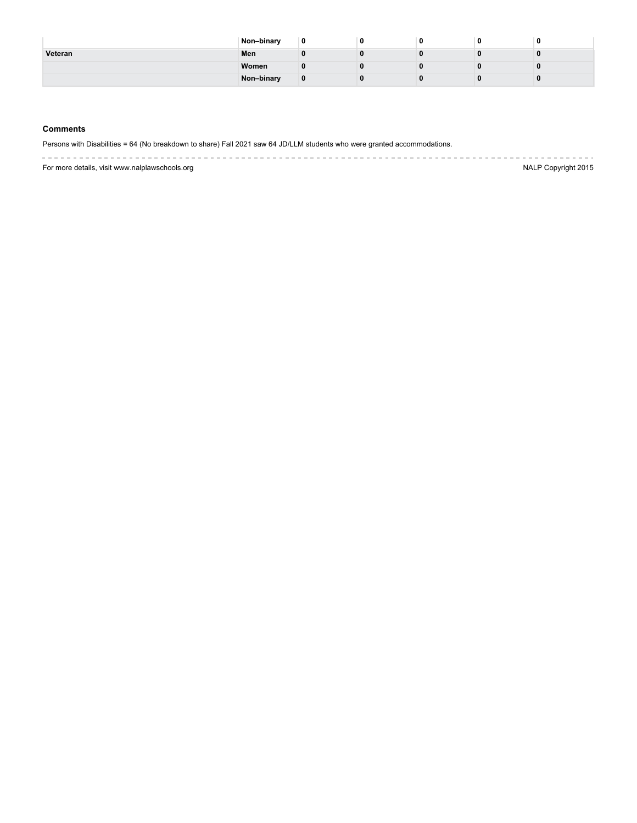|         | Non-binary | -0 |  | 0 | Ð |
|---------|------------|----|--|---|---|
| Veteran | Men        |    |  |   |   |
|         | Women      |    |  |   |   |
|         | Non-binary |    |  |   |   |

## **Comments**

Persons with Disabilities = 64 (No breakdown to share) Fall 2021 saw 64 JD/LLM students who were granted accommodations.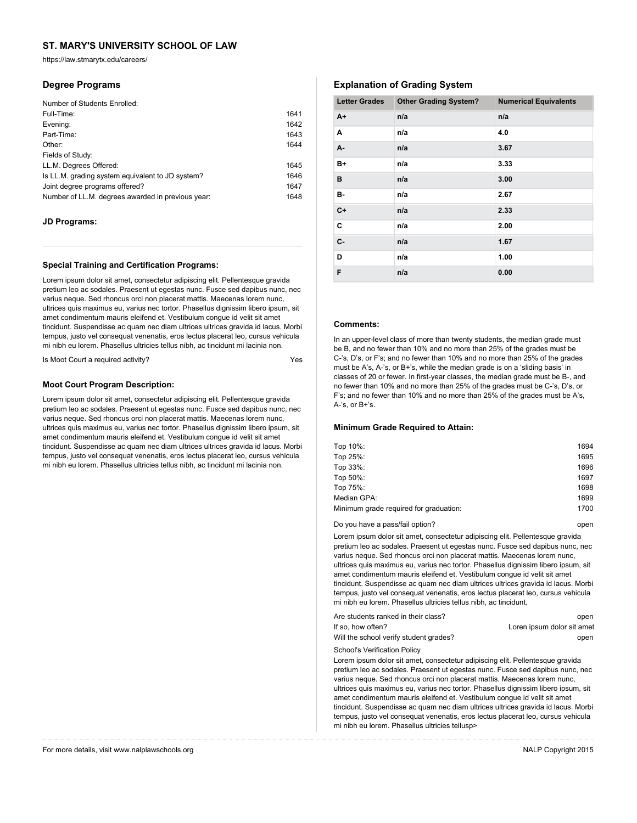https://law.stmarytx.edu/careers/

## **Degree Programs**

| Number of Students Enrolled:                      |      |
|---------------------------------------------------|------|
| Full-Time:                                        | 1641 |
| Evening:                                          | 1642 |
| Part-Time:                                        | 1643 |
| Other:                                            | 1644 |
| Fields of Study:                                  |      |
| LL.M. Degrees Offered:                            | 1645 |
| Is LL.M. grading system equivalent to JD system?  | 1646 |
| Joint degree programs offered?                    | 1647 |
| Number of LL.M. degrees awarded in previous year: | 1648 |

## **JD Programs:**

### **Special Training and Certification Programs:**

Lorem ipsum dolor sit amet, consectetur adipiscing elit. Pellentesque gravida pretium leo ac sodales. Praesent ut egestas nunc. Fusce sed dapibus nunc, nec varius neque. Sed rhoncus orci non placerat mattis. Maecenas lorem nunc, ultrices quis maximus eu, varius nec tortor. Phasellus dignissim libero ipsum, sit amet condimentum mauris eleifend et. Vestibulum congue id velit sit amet tincidunt. Suspendisse ac quam nec diam ultrices ultrices gravida id lacus. Morbi tempus, justo vel consequat venenatis, eros lectus placerat leo, cursus vehicula mi nibh eu lorem. Phasellus ultricies tellus nibh, ac tincidunt mi lacinia non.

Is Moot Court a required activity?

### **Moot Court Program Description:**

Lorem ipsum dolor sit amet, consectetur adipiscing elit. Pellentesque gravida pretium leo ac sodales. Praesent ut egestas nunc. Fusce sed dapibus nunc, nec varius neque. Sed rhoncus orci non placerat mattis. Maecenas lorem nunc, ultrices quis maximus eu, varius nec tortor. Phasellus dignissim libero ipsum, sit amet condimentum mauris eleifend et. Vestibulum congue id velit sit amet tincidunt. Suspendisse ac quam nec diam ultrices ultrices gravida id lacus. Morbi tempus, justo vel consequat venenatis, eros lectus placerat leo, cursus vehicula mi nibh eu lorem. Phasellus ultricies tellus nibh, ac tincidunt mi lacinia non.

## **Explanation of Grading System**

| <b>Letter Grades</b> | <b>Other Grading System?</b> | <b>Numerical Equivalents</b> |
|----------------------|------------------------------|------------------------------|
| $A+$                 | n/a                          | n/a                          |
| Α                    | n/a                          | 4.0                          |
| A-                   | n/a                          | 3.67                         |
| B+                   | n/a                          | 3.33                         |
| в                    | n/a                          | 3.00                         |
| в-                   | n/a                          | 2.67                         |
| $C+$                 | n/a                          | 2.33                         |
| C                    | n/a                          | 2.00                         |
| $C -$                | n/a                          | 1.67                         |
| D                    | n/a                          | 1.00                         |
| F                    | n/a                          | 0.00                         |

### **Comments:**

In an upper-level class of more than twenty students, the median grade must be B, and no fewer than 10% and no more than 25% of the grades must be C-'s, D's, or F's; and no fewer than 10% and no more than 25% of the grades must be A's, A-'s, or B+'s, while the median grade is on a 'sliding basis' in classes of 20 or fewer. In first-year classes, the median grade must be B-, and no fewer than 10% and no more than 25% of the grades must be C-'s, D's, or F's; and no fewer than 10% and no more than 25% of the grades must be A's, A-'s, or B+'s.

#### **Minimum Grade Required to Attain:**

| Top 10%:                               | 1694 |
|----------------------------------------|------|
| Top 25%:                               | 1695 |
| Top 33%:                               | 1696 |
| Top 50%:                               | 1697 |
| Top 75%:                               | 1698 |
| Median GPA:                            | 1699 |
| Minimum grade required for graduation: | 1700 |
|                                        |      |

Do you have a pass/fail option? Do you have a pass/fail option?

Lorem ipsum dolor sit amet, consectetur adipiscing elit. Pellentesque gravida pretium leo ac sodales. Praesent ut egestas nunc. Fusce sed dapibus nunc, nec varius neque. Sed rhoncus orci non placerat mattis. Maecenas lorem nunc, ultrices quis maximus eu, varius nec tortor. Phasellus dignissim libero ipsum, sit amet condimentum mauris eleifend et. Vestibulum congue id velit sit amet tincidunt. Suspendisse ac quam nec diam ultrices ultrices gravida id lacus. Morbi tempus, justo vel consequat venenatis, eros lectus placerat leo, cursus vehicula mi nibh eu lorem. Phasellus ultricies tellus nibh, ac tincidunt.

| Are students ranked in their class?    | open                       |
|----------------------------------------|----------------------------|
| If so, how often?                      | Loren ipsum dolor sit amet |
| Will the school verify student grades? | open                       |

School's Verification Policy

Lorem ipsum dolor sit amet, consectetur adipiscing elit. Pellentesque gravida pretium leo ac sodales. Praesent ut egestas nunc. Fusce sed dapibus nunc, nec varius neque. Sed rhoncus orci non placerat mattis. Maecenas lorem nunc, ultrices quis maximus eu, varius nec tortor. Phasellus dignissim libero ipsum, sit amet condimentum mauris eleifend et. Vestibulum congue id velit sit amet tincidunt. Suspendisse ac quam nec diam ultrices ultrices gravida id lacus. Morbi tempus, justo vel consequat venenatis, eros lectus placerat leo, cursus vehicula mi nibh eu lorem. Phasellus ultricies tellusp>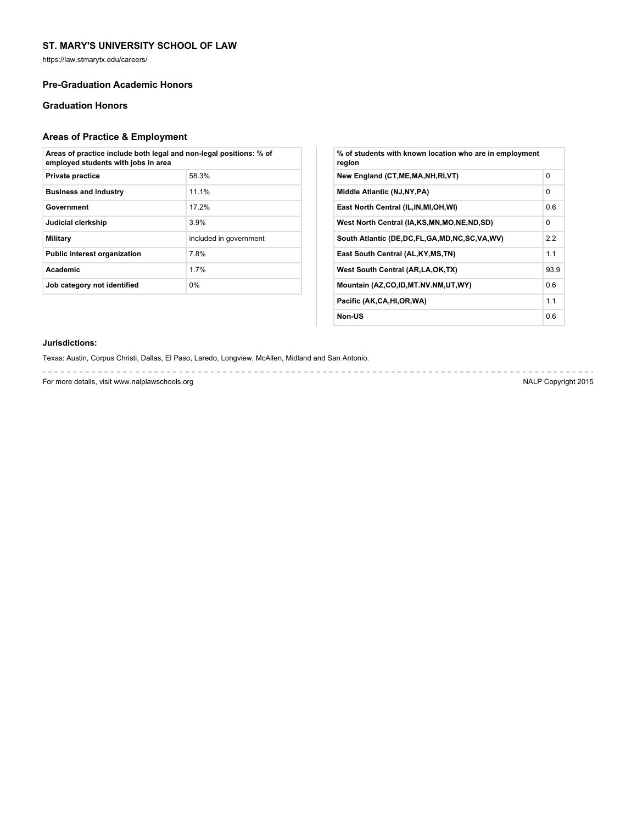https://law.stmarytx.edu/careers/

## **Pre-Graduation Academic Honors**

## **Graduation Honors**

# **Areas of Practice & Employment**

| Areas of practice include both legal and non-legal positions: % of<br>employed students with jobs in area |                        |  |  |  |
|-----------------------------------------------------------------------------------------------------------|------------------------|--|--|--|
| Private practice                                                                                          | 58.3%                  |  |  |  |
| <b>Business and industry</b>                                                                              | 11.1%                  |  |  |  |
| Government                                                                                                | 17 2%                  |  |  |  |
| Judicial clerkship                                                                                        | 3.9%                   |  |  |  |
| Military                                                                                                  | included in government |  |  |  |
| <b>Public interest organization</b>                                                                       | 78%                    |  |  |  |
| <b>Academic</b>                                                                                           | 1 7%                   |  |  |  |
| Job category not identified                                                                               | $0\%$                  |  |  |  |

| % of students with known location who are in employment<br>region |          |
|-------------------------------------------------------------------|----------|
| New England (CT, ME, MA, NH, RI, VT)                              | $\Omega$ |
| Middle Atlantic (NJ, NY, PA)                                      | $\Omega$ |
| East North Central (IL, IN, MI, OH, WI)                           | 0.6      |
| West North Central (IA,KS,MN,MO,NE,ND,SD)                         | $\Omega$ |
| South Atlantic (DE,DC,FL,GA,MD,NC,SC,VA,WV)                       | 2.2      |
| East South Central (AL, KY, MS, TN)                               | 1.1      |
| West South Central (AR, LA, OK, TX)                               | 93.9     |
| Mountain (AZ,CO,ID,MT.NV.NM,UT,WY)                                | 0.6      |
| Pacific (AK,CA,HI,OR,WA)                                          | 1.1      |
| Non-US                                                            | 0.6      |

### **Jurisdictions:**

Texas: Austin, Corpus Christi, Dallas, El Paso, Laredo, Longview, McAllen, Midland and San Antonio.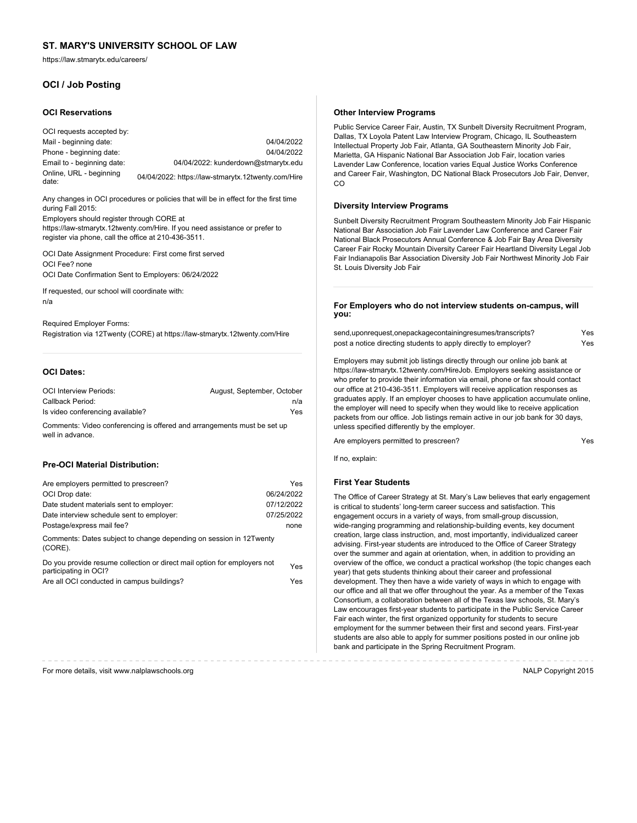https://law.stmarytx.edu/careers/

## **OCI / Job Posting**

#### **OCI Reservations**

OCI requests accepted by: Mail - beginning date: 04/04/2022 Phone - beginning date: 04/04/2022 Email to - beginning date: 04/04/2022: kunderdown@stmarytx.edu Online, URL - beginning 04/04/2022: https://law-stmarytx.12twenty.com/Hire

Any changes in OCI procedures or policies that will be in effect for the first time during Fall 2015:

Employers should register through CORE at https://law-stmarytx.12twenty.com/Hire. If you need assistance or prefer to register via phone, call the office at 210-436-3511.

OCI Date Assignment Procedure: First come first served OCI Fee? none OCI Date Confirmation Sent to Employers: 06/24/2022

If requested, our school will coordinate with: n/a

Required Employer Forms: Registration via 12Twenty (CORE) at https://law-stmarytx.12twenty.com/Hire

## **OCI Dates:**

| <b>OCI Interview Periods:</b>                                           | August, September, October |
|-------------------------------------------------------------------------|----------------------------|
| Callback Period:                                                        | n/a                        |
| Is video conferencing available?                                        | Yes                        |
| Comments: Video conferencing is offered and arrangements must be set up |                            |

well in advance.

## **Pre-OCI Material Distribution:**

| Are employers permitted to prescreen?                                                             | Yes        |
|---------------------------------------------------------------------------------------------------|------------|
| OCI Drop date:                                                                                    | 06/24/2022 |
| Date student materials sent to employer:                                                          | 07/12/2022 |
| Date interview schedule sent to employer:                                                         | 07/25/2022 |
| Postage/express mail fee?                                                                         | none       |
| Comments: Dates subject to change depending on session in 12Twenty<br>(CORE).                     |            |
| Do you provide resume collection or direct mail option for employers not<br>participating in OCI? | Yes        |

|  | Are all OCI conducted in campus buildings?<br>Yes |  |
|--|---------------------------------------------------|--|

#### **Other Interview Programs**

Public Service Career Fair, Austin, TX Sunbelt Diversity Recruitment Program, Dallas, TX Loyola Patent Law Interview Program, Chicago, IL Southeastern Intellectual Property Job Fair, Atlanta, GA Southeastern Minority Job Fair, Marietta, GA Hispanic National Bar Association Job Fair, location varies Lavender Law Conference, location varies Equal Justice Works Conference and Career Fair, Washington, DC National Black Prosecutors Job Fair, Denver, CO

#### **Diversity Interview Programs**

Sunbelt Diversity Recruitment Program Southeastern Minority Job Fair Hispanic National Bar Association Job Fair Lavender Law Conference and Career Fair National Black Prosecutors Annual Conference & Job Fair Bay Area Diversity Career Fair Rocky Mountain Diversity Career Fair Heartland Diversity Legal Job Fair Indianapolis Bar Association Diversity Job Fair Northwest Minority Job Fair St. Louis Diversity Job Fair

#### **For Employers who do not interview students on-campus, will you:**

send,uponrequest,onepackagecontainingresumes/transcripts? Yes post a notice directing students to apply directly to employer? Yes

Employers may submit job listings directly through our online job bank at https://law-stmarytx.12twenty.com/HireJob. Employers seeking assistance or who prefer to provide their information via email, phone or fax should contact our office at 210-436-3511. Employers will receive application responses as graduates apply. If an employer chooses to have application accumulate online, the employer will need to specify when they would like to receive application packets from our office. Job listings remain active in our job bank for 30 days, unless specified differently by the employer.

Are employers permitted to prescreen? The control of the employers permitted to prescreen?

If no, explain:

#### **First Year Students**

The Office of Career Strategy at St. Mary's Law believes that early engagement is critical to students' long-term career success and satisfaction. This engagement occurs in a variety of ways, from small-group discussion, wide-ranging programming and relationship-building events, key document creation, large class instruction, and, most importantly, individualized career advising. First-year students are introduced to the Office of Career Strategy over the summer and again at orientation, when, in addition to providing an overview of the office, we conduct a practical workshop (the topic changes each year) that gets students thinking about their career and professional development. They then have a wide variety of ways in which to engage with our office and all that we offer throughout the year. As a member of the Texas Consortium, a collaboration between all of the Texas law schools, St. Mary's Law encourages first-year students to participate in the Public Service Career Fair each winter, the first organized opportunity for students to secure employment for the summer between their first and second years. First-year students are also able to apply for summer positions posted in our online job bank and participate in the Spring Recruitment Program.

--------------------